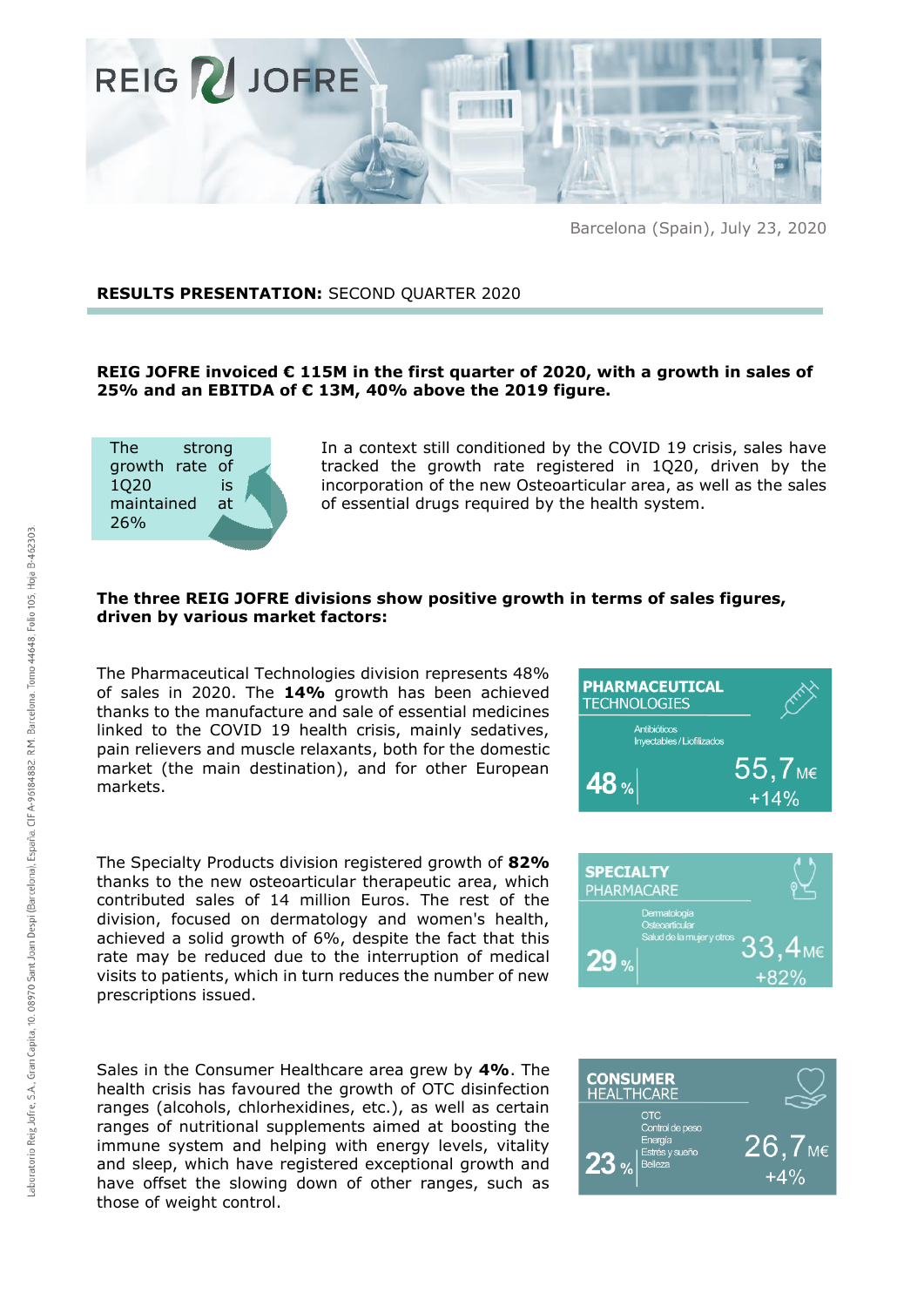

Barcelona (Spain), July 23, 2020

## **RESULTS PRESENTATION:** SECOND QUARTER 2020

# **REIG JOFRE invoiced € 115M in the first quarter of 2020, with a growth in sales of 25% and an EBITDA of € 13M, 40% above the 2019 figure.**



In a context still conditioned by the COVID 19 crisis, sales have tracked the growth rate registered in 1Q20, driven by the incorporation of the new Osteoarticular area, as well as the sales of essential drugs required by the health system.

## **The three REIG JOFRE divisions show positive growth in terms of sales figures, driven by various market factors:**

The Pharmaceutical Technologies division represents 48% of sales in 2020. The **14%** growth has been achieved thanks to the manufacture and sale of essential medicines linked to the COVID 19 health crisis, mainly sedatives, pain relievers and muscle relaxants, both for the domestic market (the main destination), and for other European markets.

The Specialty Products division registered growth of **82%** thanks to the new osteoarticular therapeutic area, which contributed sales of 14 million Euros. The rest of the division, focused on dermatology and women's health, achieved a solid growth of 6%, despite the fact that this rate may be reduced due to the interruption of medical visits to patients, which in turn reduces the number of new prescriptions issued.

Sales in the Consumer Healthcare area grew by **4%**. The health crisis has favoured the growth of OTC disinfection ranges (alcohols, chlorhexidines, etc.), as well as certain ranges of nutritional supplements aimed at boosting the immune system and helping with energy levels, vitality and sleep, which have registered exceptional growth and have offset the slowing down of other ranges, such as those of weight control.





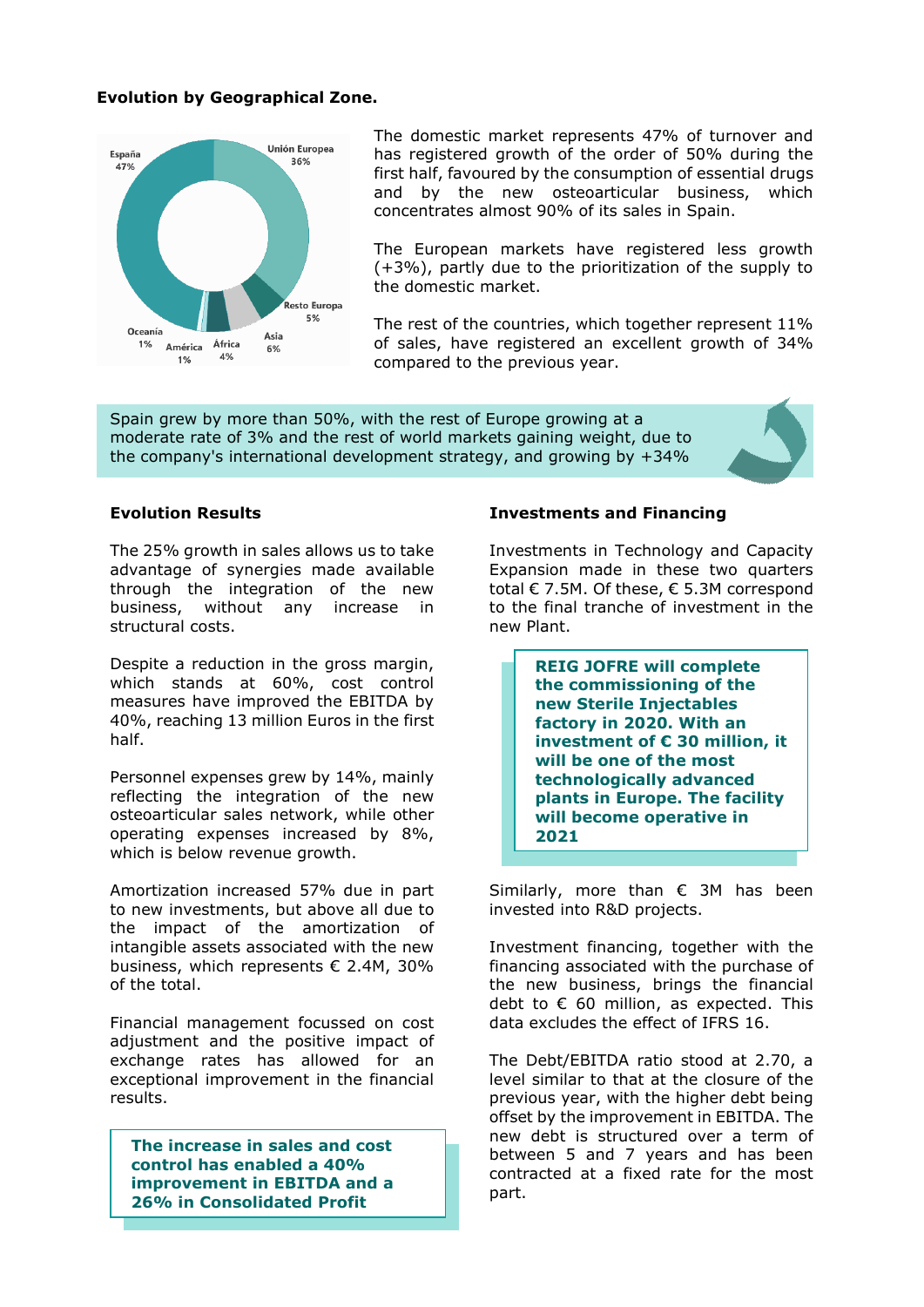## **Evolution by Geographical Zone.**



The domestic market represents 47% of turnover and has registered growth of the order of 50% during the first half, favoured by the consumption of essential drugs and by the new osteoarticular business, which concentrates almost 90% of its sales in Spain.

The European markets have registered less growth (+3%), partly due to the prioritization of the supply to the domestic market.

The rest of the countries, which together represent 11% of sales, have registered an excellent growth of 34% compared to the previous year.

Spain grew by more than 50%, with the rest of Europe growing at a moderate rate of 3% and the rest of world markets gaining weight, due to the company's international development strategy, and growing by +34%

The 25% growth in sales allows us to take advantage of synergies made available through the integration of the new business, without any increase in structural costs.

Despite a reduction in the gross margin, which stands at 60%, cost control measures have improved the EBITDA by 40%, reaching 13 million Euros in the first half.

Personnel expenses grew by 14%, mainly reflecting the integration of the new osteoarticular sales network, while other operating expenses increased by 8%, which is below revenue growth.

Amortization increased 57% due in part to new investments, but above all due to the impact of the amortization of intangible assets associated with the new business, which represents € 2.4M, 30% of the total.

Financial management focussed on cost adjustment and the positive impact of exchange rates has allowed for an exceptional improvement in the financial results.

**The increase in sales and cost control has enabled a 40% improvement in EBITDA and a 26% in Consolidated Profit** 

### **Evolution Results Investments and Financing**

Investments in Technology and Capacity Expansion made in these two quarters total € 7.5M. Of these, € 5.3M correspond to the final tranche of investment in the new Plant.

> **REIG JOFRE will complete the commissioning of the new Sterile Injectables factory in 2020. With an investment of € 30 million, it will be one of the most technologically advanced plants in Europe. The facility will become operative in 2021**

Similarly, more than  $\epsilon$  3M has been invested into R&D projects.

Investment financing, together with the financing associated with the purchase of the new business, brings the financial debt to  $\epsilon$  60 million, as expected. This data excludes the effect of IFRS 16.

The Debt/EBITDA ratio stood at 2.70, a level similar to that at the closure of the previous year, with the higher debt being offset by the improvement in EBITDA. The new debt is structured over a term of between 5 and 7 years and has been contracted at a fixed rate for the most part.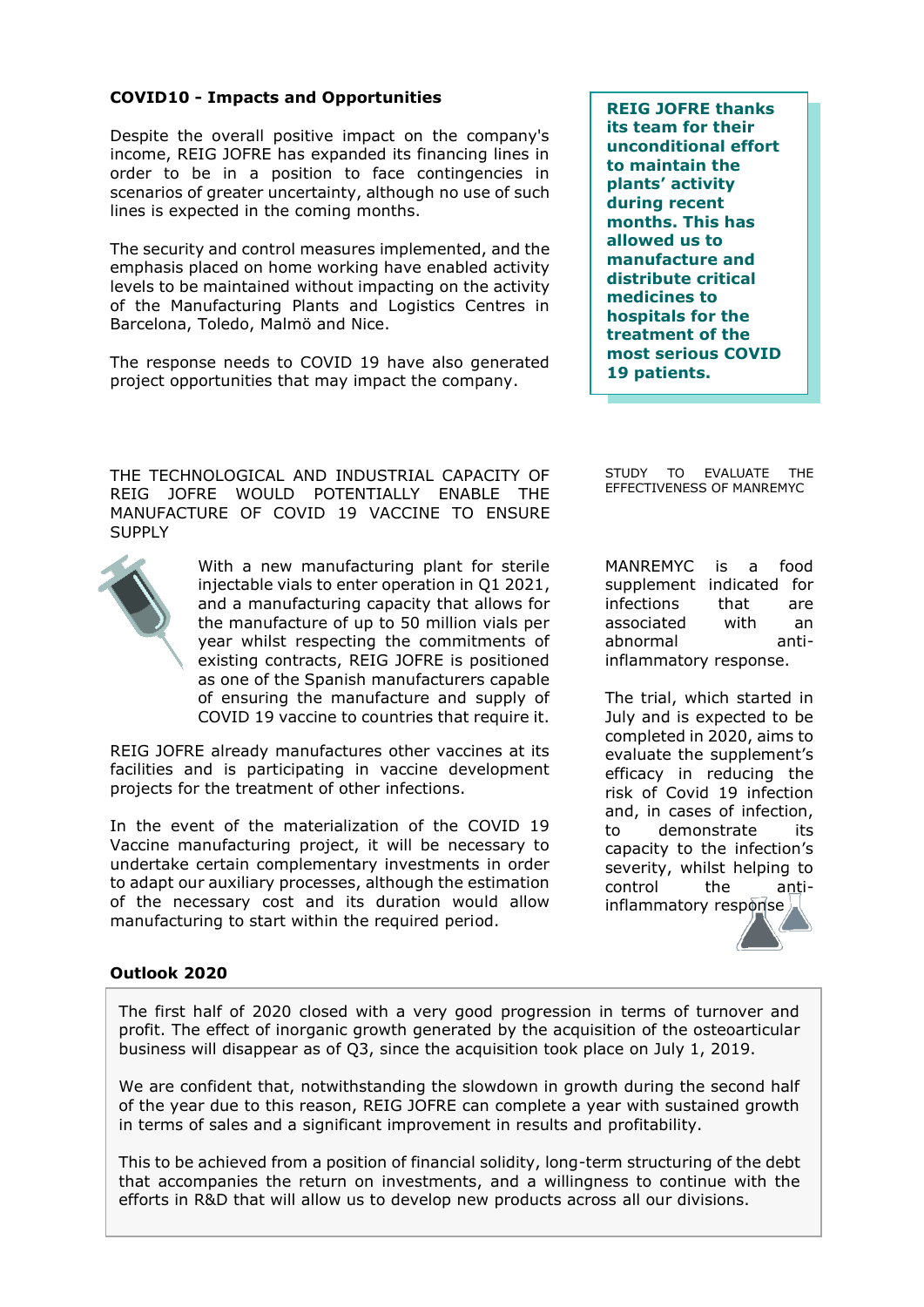# **COVID10 - Impacts and Opportunities**

Despite the overall positive impact on the company's income, REIG JOFRE has expanded its financing lines in order to be in a position to face contingencies in scenarios of greater uncertainty, although no use of such lines is expected in the coming months.

The security and control measures implemented, and the emphasis placed on home working have enabled activity levels to be maintained without impacting on the activity of the Manufacturing Plants and Logistics Centres in Barcelona, Toledo, Malmö and Nice.

The response needs to COVID 19 have also generated project opportunities that may impact the company.

**REIG JOFRE thanks its team for their unconditional effort to maintain the plants' activity during recent months. This has allowed us to manufacture and distribute critical medicines to hospitals for the treatment of the most serious COVID 19 patients.** 

THE TECHNOLOGICAL AND INDUSTRIAL CAPACITY OF REIG JOFRE WOULD POTENTIALLY ENABLE THE MANUFACTURE OF COVID 19 VACCINE TO ENSURE **SUPPLY** 



With a new manufacturing plant for sterile injectable vials to enter operation in Q1 2021, and a manufacturing capacity that allows for the manufacture of up to 50 million vials per year whilst respecting the commitments of existing contracts, REIG JOFRE is positioned as one of the Spanish manufacturers capable of ensuring the manufacture and supply of COVID 19 vaccine to countries that require it.

REIG JOFRE already manufactures other vaccines at its facilities and is participating in vaccine development projects for the treatment of other infections.

In the event of the materialization of the COVID 19 Vaccine manufacturing project, it will be necessary to undertake certain complementary investments in order to adapt our auxiliary processes, although the estimation of the necessary cost and its duration would allow manufacturing to start within the required period.

STUDY TO EVALUATE THE EFFECTIVENESS OF MANREMYC

MANREMYC is a food supplement indicated for infections that are associated with an abnormal antiinflammatory response.

The trial, which started in July and is expected to be completed in 2020, aims to evaluate the supplement's efficacy in reducing the risk of Covid 19 infection and, in cases of infection, to demonstrate its capacity to the infection's severity, whilst helping to control the antiinflammatory response

## **Outlook 2020**

The first half of 2020 closed with a very good progression in terms of turnover and profit. The effect of inorganic growth generated by the acquisition of the osteoarticular business will disappear as of Q3, since the acquisition took place on July 1, 2019.

We are confident that, notwithstanding the slowdown in growth during the second half of the year due to this reason, REIG JOFRE can complete a year with sustained growth in terms of sales and a significant improvement in results and profitability.

This to be achieved from a position of financial solidity, long-term structuring of the debt that accompanies the return on investments, and a willingness to continue with the efforts in R&D that will allow us to develop new products across all our divisions.